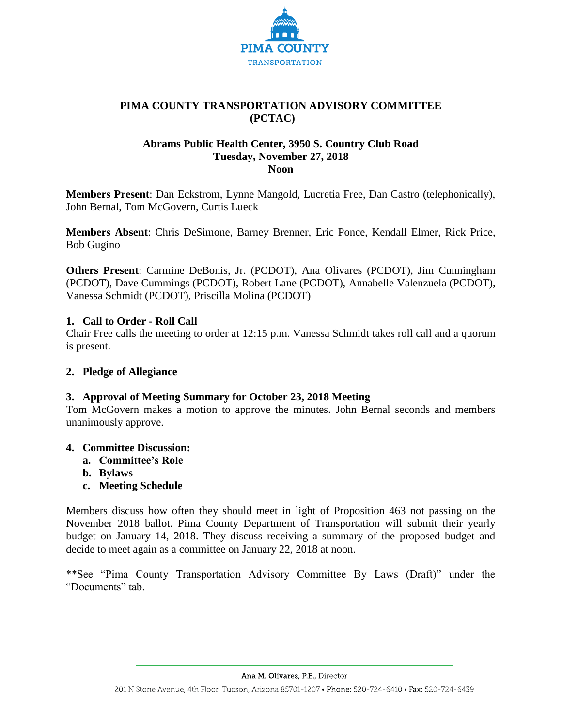

# **PIMA COUNTY TRANSPORTATION ADVISORY COMMITTEE (PCTAC)**

## **Abrams Public Health Center, 3950 S. Country Club Road Tuesday, November 27, 2018 Noon**

**Members Present**: Dan Eckstrom, Lynne Mangold, Lucretia Free, Dan Castro (telephonically), John Bernal, Tom McGovern, Curtis Lueck

**Members Absent**: Chris DeSimone, Barney Brenner, Eric Ponce, Kendall Elmer, Rick Price, Bob Gugino

**Others Present**: Carmine DeBonis, Jr. (PCDOT), Ana Olivares (PCDOT), Jim Cunningham (PCDOT), Dave Cummings (PCDOT), Robert Lane (PCDOT), Annabelle Valenzuela (PCDOT), Vanessa Schmidt (PCDOT), Priscilla Molina (PCDOT)

# **1. Call to Order - Roll Call**

Chair Free calls the meeting to order at 12:15 p.m. Vanessa Schmidt takes roll call and a quorum is present.

# **2. Pledge of Allegiance**

# **3. Approval of Meeting Summary for October 23, 2018 Meeting**

Tom McGovern makes a motion to approve the minutes. John Bernal seconds and members unanimously approve.

## **4. Committee Discussion:**

- **a. Committee's Role**
- **b. Bylaws**
- **c. Meeting Schedule**

Members discuss how often they should meet in light of Proposition 463 not passing on the November 2018 ballot. Pima County Department of Transportation will submit their yearly budget on January 14, 2018. They discuss receiving a summary of the proposed budget and decide to meet again as a committee on January 22, 2018 at noon.

\*\*See "Pima County Transportation Advisory Committee By Laws (Draft)" under the "Documents" tab.